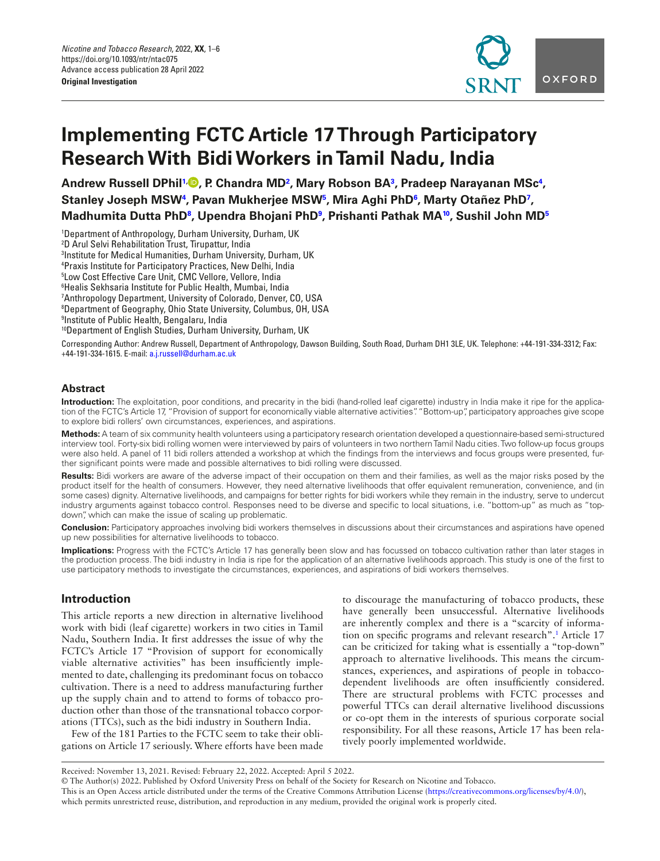

# **Implementing FCTC Article 17 Through Participatory Research With Bidi Workers in Tamil Nadu, India**

**Andrew Russell DPhi[l1,](#page-0-0) , P. Chandra MD[2](#page-0-1) , Mary Robson B[A3](#page-0-2) , Pradeep Narayanan MSc[4](#page-0-3) , Stanley Joseph MS[W4](#page-0-3) , Pavan Mukherjee MSW[5](#page-0-4) , Mira Aghi PhD[6](#page-0-5) , Marty Otañez PhD[7](#page-0-6) , Madhumita Dutta Ph[D8](#page-0-7) , Upendra Bhojani PhD[9](#page-0-8) , Prishanti Pathak M[A10](#page-0-9), Sushil John MD[5](#page-0-4)**

<span id="page-0-5"></span><span id="page-0-4"></span><span id="page-0-3"></span><span id="page-0-2"></span><span id="page-0-1"></span><span id="page-0-0"></span> Department of Anthropology, Durham University, Durham, UK D Arul Selvi Rehabilitation Trust, Tirupattur, India Institute for Medical Humanities, Durham University, Durham, UK Praxis Institute for Participatory Practices, New Delhi, India Low Cost Effective Care Unit, CMC Vellore, Vellore, India Healis Sekhsaria Institute for Public Health, Mumbai, India Anthropology Department, University of Colorado, Denver, CO, USA Department of Geography, Ohio State University, Columbus, OH, USA Institute of Public Health, Bengalaru, India 10Department of English Studies, Durham University, Durham, UK

<span id="page-0-9"></span><span id="page-0-8"></span><span id="page-0-7"></span><span id="page-0-6"></span>Corresponding Author: Andrew Russell, Department of Anthropology, Dawson Building, South Road, Durham DH1 3LE, UK. Telephone: +44-191-334-3312; Fax: +44-191-334-1615. E-mail: [a.j.russell@durham.ac.uk](mailto:a.j.russell@durham.ac.uk?subject=)

## **Abstract**

**Introduction:** The exploitation, poor conditions, and precarity in the bidi (hand-rolled leaf cigarette) industry in India make it ripe for the application of the FCTC's Article 17, "Provision of support for economically viable alternative activities". "Bottom-up", participatory approaches give scope to explore bidi rollers' own circumstances, experiences, and aspirations.

**Methods:** A team of six community health volunteers using a participatory research orientation developed a questionnaire-based semi-structured interview tool. Forty-six bidi rolling women were interviewed by pairs of volunteers in two northern Tamil Nadu cities. Two follow-up focus groups were also held. A panel of 11 bidi rollers attended a workshop at which the fndings from the interviews and focus groups were presented, further significant points were made and possible alternatives to bidi rolling were discussed.

Results: Bidi workers are aware of the adverse impact of their occupation on them and their families, as well as the major risks posed by the product itself for the health of consumers. However, they need alternative livelihoods that offer equivalent remuneration, convenience, and (in some cases) dignity. Alternative livelihoods, and campaigns for better rights for bidi workers while they remain in the industry, serve to undercut industry arguments against tobacco control. Responses need to be diverse and specific to local situations, i.e. "bottom-up" as much as "topdown", which can make the issue of scaling up problematic.

**Conclusion:** Participatory approaches involving bidi workers themselves in discussions about their circumstances and aspirations have opened up new possibilities for alternative livelihoods to tobacco.

**Implications:** Progress with the FCTC's Article 17 has generally been slow and has focussed on tobacco cultivation rather than later stages in the production process. The bidi industry in India is ripe for the application of an alternative livelihoods approach. This study is one of the frst to use participatory methods to investigate the circumstances, experiences, and aspirations of bidi workers themselves.

# **Introduction**

This article reports a new direction in alternative livelihood work with bidi (leaf cigarette) workers in two cities in Tamil Nadu, Southern India. It frst addresses the issue of why the FCTC's Article 17 "Provision of support for economically viable alternative activities" has been insuffciently implemented to date, challenging its predominant focus on tobacco cultivation. There is a need to address manufacturing further up the supply chain and to attend to forms of tobacco production other than those of the transnational tobacco corporations (TTCs), such as the bidi industry in Southern India.

Few of the 181 Parties to the FCTC seem to take their obligations on Article 17 seriously. Where efforts have been made to discourage the manufacturing of tobacco products, these have generally been unsuccessful. Alternative livelihoods are inherently complex and there is a "scarcity of information on specifc programs and relevant research".1 Article 17 can be criticized for taking what is essentially a "top-down" approach to alternative livelihoods. This means the circumstances, experiences, and aspirations of people in tobaccodependent livelihoods are often insuffciently considered. There are structural problems with FCTC processes and powerful TTCs can derail alternative livelihood discussions or co-opt them in the interests of spurious corporate social responsibility. For all these reasons, Article 17 has been relatively poorly implemented worldwide.

Received: November 13, 2021. Revised: February 22, 2022. Accepted: April 5 2022.

<sup>©</sup> The Author(s) 2022. Published by Oxford University Press on behalf of the Society for Research on Nicotine and Tobacco.

This is an Open Access article distributed under the terms of the Creative Commons Attribution License (<https://creativecommons.org/licenses/by/4.0/>), which permits unrestricted reuse, distribution, and reproduction in any medium, provided the original work is properly cited.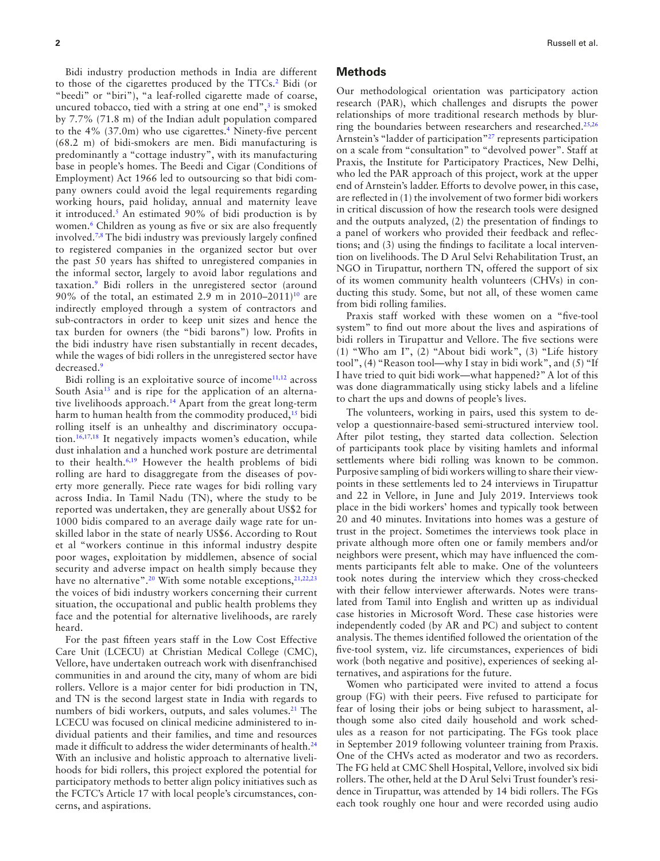<span id="page-1-2"></span><span id="page-1-1"></span>Bidi industry production methods in India are different to those of the cigarettes produced by the TTCs.2 Bidi (or "beedi" or "biri"), "a leaf-rolled cigarette made of coarse, uncured tobacco, tied with a string at one end", $\frac{3}{3}$  is smoked by 7.7% (71.8 m) of the Indian adult population compared to the 4% (37.0m) who use cigarettes.4 Ninety-fve percent (68.2 m) of bidi-smokers are men. Bidi manufacturing is predominantly a "cottage industry", with its manufacturing base in people's homes. The Beedi and Cigar (Conditions of Employment) Act 1966 led to outsourcing so that bidi company owners could avoid the legal requirements regarding working hours, paid holiday, annual and maternity leave it introduced[.5](#page-4-1) An estimated 90% of bidi production is by women.<sup>[6](#page-4-2)</sup> Children as young as five or six are also frequently involved[.7](#page-4-3),[8](#page-4-4) The bidi industry was previously largely confned to registered companies in the organized sector but over the past 50 years has shifted to unregistered companies in the informal sector, largely to avoid labor regulations and taxation.[9](#page-4-5) Bidi rollers in the unregistered sector (around 90% of the total, an estimated 2.9 m in  $2010-2011$ <sup>10</sup> are indirectly employed through a system of contractors and sub-contractors in order to keep unit sizes and hence the tax burden for owners (the "bidi barons") low. Profts in the bidi industry have risen substantially in recent decades, while the wages of bidi rollers in the unregistered sector have decreased.<sup>9</sup>

<span id="page-1-14"></span><span id="page-1-13"></span><span id="page-1-12"></span><span id="page-1-9"></span><span id="page-1-5"></span><span id="page-1-4"></span><span id="page-1-3"></span>Bidi rolling is an exploitative source of income $11,12$  $11,12$  across South Asia<sup>13</sup> and is ripe for the application of an alternative livelihoods approach[.14](#page-4-10) Apart from the great long-term harm to human health from the commodity produced, $15$  bidi rolling itself is an unhealthy and discriminatory occupation[.16,](#page-4-12)[17](#page-4-13),[18](#page-4-14) It negatively impacts women's education, while dust inhalation and a hunched work posture are detrimental to their health.[6,](#page-4-2)[19](#page-4-15) However the health problems of bidi rolling are hard to disaggregate from the diseases of poverty more generally. Piece rate wages for bidi rolling vary across India. In Tamil Nadu (TN), where the study to be reported was undertaken, they are generally about US\$2 for 1000 bidis compared to an average daily wage rate for unskilled labor in the state of nearly US\$6. According to Rout et al "workers continue in this informal industry despite poor wages, exploitation by middlemen, absence of social security and adverse impact on health simply because they have no alternative".<sup>[20](#page-4-16)</sup> With some notable exceptions,<sup>21[,22](#page-4-17),23</sup> the voices of bidi industry workers concerning their current situation, the occupational and public health problems they face and the potential for alternative livelihoods, are rarely heard.

For the past ffteen years staff in the Low Cost Effective Care Unit (LCECU) at Christian Medical College (CMC), Vellore, have undertaken outreach work with disenfranchised communities in and around the city, many of whom are bidi rollers. Vellore is a major center for bidi production in TN, and TN is the second largest state in India with regards to numbers of bidi workers, outputs, and sales volumes.<sup>21</sup> The LCECU was focused on clinical medicine administered to individual patients and their families, and time and resources made it difficult to address the wider determinants of health.<sup>[24](#page-4-18)</sup> With an inclusive and holistic approach to alternative livelihoods for bidi rollers, this project explored the potential for participatory methods to better align policy initiatives such as the FCTC's Article 17 with local people's circumstances, concerns, and aspirations.

#### **Methods**

<span id="page-1-21"></span><span id="page-1-20"></span><span id="page-1-19"></span><span id="page-1-0"></span>Our methodological orientation was participatory action research (PAR), which challenges and disrupts the power relationships of more traditional research methods by blur-ring the boundaries between researchers and researched.<sup>[25,](#page-4-19)[26](#page-4-20)</sup> Arnstein's "ladder of participation"[27](#page-4-21) represents participation on a scale from "consultation" to "devolved power". Staff at Praxis, the Institute for Participatory Practices, New Delhi, who led the PAR approach of this project, work at the upper end of Arnstein's ladder. Efforts to devolve power, in this case, are refected in (1) the involvement of two former bidi workers in critical discussion of how the research tools were designed and the outputs analyzed, (2) the presentation of fndings to a panel of workers who provided their feedback and refections; and (3) using the fndings to facilitate a local intervention on livelihoods. The D Arul Selvi Rehabilitation Trust, an NGO in Tirupattur, northern TN, offered the support of six of its women community health volunteers (CHVs) in conducting this study. Some, but not all, of these women came from bidi rolling families.

<span id="page-1-6"></span>Praxis staff worked with these women on a "fve-tool system" to fnd out more about the lives and aspirations of bidi rollers in Tirupattur and Vellore. The five sections were (1) "Who am I", (2) "About bidi work", (3) "Life history tool", (4) "Reason tool—why I stay in bidi work", and (5) "If I have tried to quit bidi work—what happened?" A lot of this was done diagrammatically using sticky labels and a lifeline to chart the ups and downs of people's lives.

<span id="page-1-15"></span><span id="page-1-11"></span><span id="page-1-10"></span><span id="page-1-8"></span><span id="page-1-7"></span>The volunteers, working in pairs, used this system to develop a questionnaire-based semi-structured interview tool. After pilot testing, they started data collection. Selection of participants took place by visiting hamlets and informal settlements where bidi rolling was known to be common. Purposive sampling of bidi workers willing to share their viewpoints in these settlements led to 24 interviews in Tirupattur and 22 in Vellore, in June and July 2019. Interviews took place in the bidi workers' homes and typically took between 20 and 40 minutes. Invitations into homes was a gesture of trust in the project. Sometimes the interviews took place in private although more often one or family members and/or neighbors were present, which may have infuenced the comments participants felt able to make. One of the volunteers took notes during the interview which they cross-checked with their fellow interviewer afterwards. Notes were translated from Tamil into English and written up as individual case histories in Microsoft Word. These case histories were independently coded (by AR and PC) and subject to content analysis. The themes identifed followed the orientation of the fve-tool system, viz. life circumstances, experiences of bidi work (both negative and positive), experiences of seeking alternatives, and aspirations for the future.

<span id="page-1-18"></span><span id="page-1-17"></span><span id="page-1-16"></span>Women who participated were invited to attend a focus group (FG) with their peers. Five refused to participate for fear of losing their jobs or being subject to harassment, although some also cited daily household and work schedules as a reason for not participating. The FGs took place in September 2019 following volunteer training from Praxis. One of the CHVs acted as moderator and two as recorders. The FG held at CMC Shell Hospital, Vellore, involved six bidi rollers. The other, held at the D Arul Selvi Trust founder's residence in Tirupattur, was attended by 14 bidi rollers. The FGs each took roughly one hour and were recorded using audio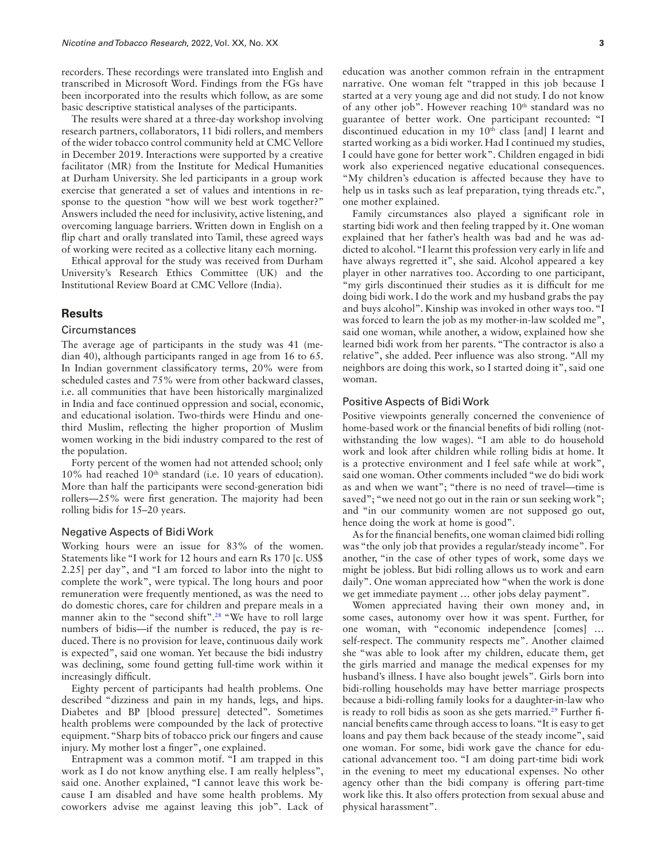recorders. These recordings were translated into English and transcribed in Microsoft Word. Findings from the FGs have been incorporated into the results which follow, as are some basic descriptive statistical analyses of the participants.

The results were shared at a three-day workshop involving research partners, collaborators, 11 bidi rollers, and members of the wider tobacco control community held at CMC Vellore in December 2019. Interactions were supported by a creative facilitator (MR) from the Institute for Medical Humanities at Durham University. She led participants in a group work exercise that generated a set of values and intentions in response to the question "how will we best work together?" Answers included the need for inclusivity, active listening, and overcoming language barriers. Written down in English on a fip chart and orally translated into Tamil, these agreed ways of working were recited as a collective litany each morning.

Ethical approval for the study was received from Durham University's Research Ethics Committee (UK) and the Institutional Review Board at CMC Vellore (India).

## **Results**

## **Circumstances**

The average age of participants in the study was 41 (median 40), although participants ranged in age from 16 to 65. In Indian government classifcatory terms, 20% were from scheduled castes and 75% were from other backward classes, i.e. all communities that have been historically marginalized in India and face continued oppression and social, economic, and educational isolation. Two-thirds were Hindu and onethird Muslim, refecting the higher proportion of Muslim women working in the bidi industry compared to the rest of the population.

Forty percent of the women had not attended school; only 10% had reached 10<sup>th</sup> standard (i.e. 10 years of education). More than half the participants were second-generation bidi rollers—25% were frst generation. The majority had been rolling bidis for 15–20 years.

#### Negative Aspects of Bidi Work

Working hours were an issue for 83% of the women. Statements like "I work for 12 hours and earn Rs 170 [c. US\$ 2.25] per day", and "I am forced to labor into the night to complete the work", were typical. The long hours and poor remuneration were frequently mentioned, as was the need to do domestic chores, care for children and prepare meals in a manner akin to the "second shift".<sup>28</sup> "We have to roll large numbers of bidis—if the number is reduced, the pay is reduced. There is no provision for leave, continuous daily work is expected", said one woman. Yet because the bidi industry was declining, some found getting full-time work within it increasingly diffcult.

Eighty percent of participants had health problems. One described "dizziness and pain in my hands, legs, and hips. Diabetes and BP [blood pressure] detected". Sometimes health problems were compounded by the lack of protective equipment. "Sharp bits of tobacco prick our fngers and cause injury. My mother lost a fnger", one explained.

Entrapment was a common motif. "I am trapped in this work as I do not know anything else. I am really helpless", said one. Another explained, "I cannot leave this work because I am disabled and have some health problems. My coworkers advise me against leaving this job". Lack of education was another common refrain in the entrapment narrative. One woman felt "trapped in this job because I started at a very young age and did not study. I do not know of any other job". However reaching  $10<sup>th</sup>$  standard was no guarantee of better work. One participant recounted: "I discontinued education in my 10<sup>th</sup> class [and] I learnt and started working as a bidi worker. Had I continued my studies, I could have gone for better work". Children engaged in bidi work also experienced negative educational consequences. "My children's education is affected because they have to help us in tasks such as leaf preparation, tying threads etc.", one mother explained.

Family circumstances also played a signifcant role in starting bidi work and then feeling trapped by it. One woman explained that her father's health was bad and he was addicted to alcohol. "I learnt this profession very early in life and have always regretted it", she said. Alcohol appeared a key player in other narratives too. According to one participant, "my girls discontinued their studies as it is difficult for me doing bidi work. I do the work and my husband grabs the pay and buys alcohol". Kinship was invoked in other ways too. "I was forced to learn the job as my mother-in-law scolded me", said one woman, while another, a widow, explained how she learned bidi work from her parents. "The contractor is also a relative", she added. Peer infuence was also strong. "All my neighbors are doing this work, so I started doing it", said one woman.

#### Positive Aspects of Bidi Work

Positive viewpoints generally concerned the convenience of home-based work or the fnancial benefts of bidi rolling (notwithstanding the low wages). "I am able to do household work and look after children while rolling bidis at home. It is a protective environment and I feel safe while at work", said one woman. Other comments included "we do bidi work as and when we want"; "there is no need of travel—time is saved"; "we need not go out in the rain or sun seeking work"; and "in our community women are not supposed go out, hence doing the work at home is good".

As for the fnancial benefts, one woman claimed bidi rolling was "the only job that provides a regular/steady income". For another, "in the case of other types of work, some days we might be jobless. But bidi rolling allows us to work and earn daily". One woman appreciated how "when the work is done we get immediate payment … other jobs delay payment".

<span id="page-2-1"></span><span id="page-2-0"></span>Women appreciated having their own money and, in some cases, autonomy over how it was spent. Further, for one woman, with "economic independence [comes] … self-respect. The community respects me". Another claimed she "was able to look after my children, educate them, get the girls married and manage the medical expenses for my husband's illness. I have also bought jewels". Girls born into bidi-rolling households may have better marriage prospects because a bidi-rolling family looks for a daughter-in-law who is ready to roll bidis as soon as she gets married.<sup>29</sup> Further financial benefts came through access to loans. "It is easy to get loans and pay them back because of the steady income", said one woman. For some, bidi work gave the chance for educational advancement too. "I am doing part-time bidi work in the evening to meet my educational expenses. No other agency other than the bidi company is offering part-time work like this. It also offers protection from sexual abuse and physical harassment".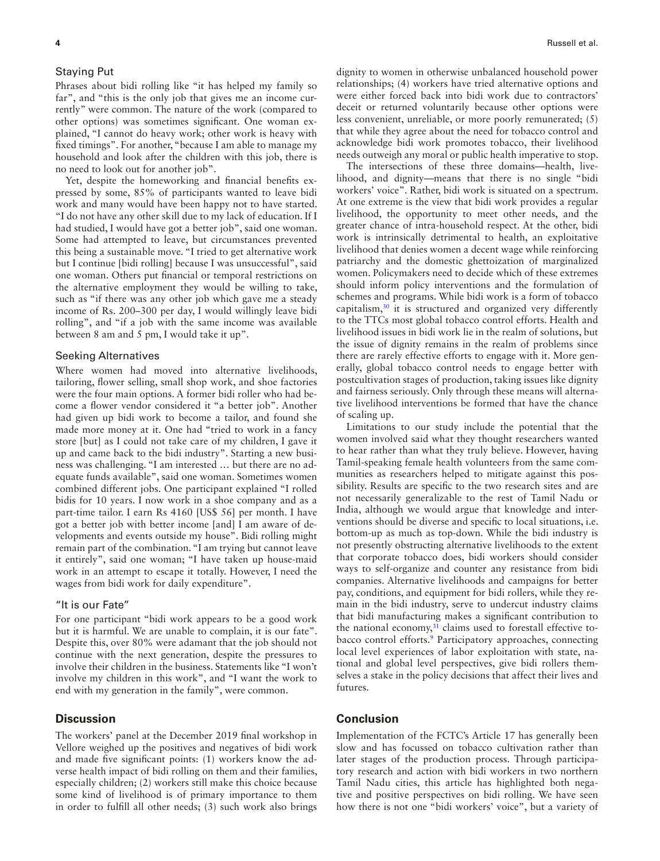#### Staying Put

Phrases about bidi rolling like "it has helped my family so far", and "this is the only job that gives me an income currently" were common. The nature of the work (compared to other options) was sometimes signifcant. One woman explained, "I cannot do heavy work; other work is heavy with fxed timings". For another, "because I am able to manage my household and look after the children with this job, there is no need to look out for another job".

Yet, despite the homeworking and fnancial benefts expressed by some, 85% of participants wanted to leave bidi work and many would have been happy not to have started. "I do not have any other skill due to my lack of education. If I had studied, I would have got a better job", said one woman. Some had attempted to leave, but circumstances prevented this being a sustainable move. "I tried to get alternative work but I continue [bidi rolling] because I was unsuccessful", said one woman. Others put fnancial or temporal restrictions on the alternative employment they would be willing to take, such as "if there was any other job which gave me a steady income of Rs. 200–300 per day, I would willingly leave bidi rolling", and "if a job with the same income was available between 8 am and 5 pm, I would take it up".

#### Seeking Alternatives

Where women had moved into alternative livelihoods, tailoring, fower selling, small shop work, and shoe factories were the four main options. A former bidi roller who had become a flower vendor considered it "a better job". Another had given up bidi work to become a tailor, and found she made more money at it. One had "tried to work in a fancy store [but] as I could not take care of my children, I gave it up and came back to the bidi industry". Starting a new business was challenging. "I am interested … but there are no adequate funds available", said one woman. Sometimes women combined different jobs. One participant explained "I rolled bidis for 10 years. I now work in a shoe company and as a part-time tailor. I earn Rs 4160 [US\$ 56] per month. I have got a better job with better income [and] I am aware of developments and events outside my house". Bidi rolling might remain part of the combination. "I am trying but cannot leave it entirely", said one woman; "I have taken up house-maid work in an attempt to escape it totally. However, I need the wages from bidi work for daily expenditure".

## "It is our Fate"

For one participant "bidi work appears to be a good work but it is harmful. We are unable to complain, it is our fate". Despite this, over 80% were adamant that the job should not continue with the next generation, despite the pressures to involve their children in the business. Statements like "I won't involve my children in this work", and "I want the work to end with my generation in the family", were common.

## **Discussion**

The workers' panel at the December 2019 fnal workshop in Vellore weighed up the positives and negatives of bidi work and made fve signifcant points: (1) workers know the adverse health impact of bidi rolling on them and their families, especially children; (2) workers still make this choice because some kind of livelihood is of primary importance to them in order to fulfll all other needs; (3) such work also brings

dignity to women in otherwise unbalanced household power relationships; (4) workers have tried alternative options and were either forced back into bidi work due to contractors' deceit or returned voluntarily because other options were less convenient, unreliable, or more poorly remunerated; (5) that while they agree about the need for tobacco control and acknowledge bidi work promotes tobacco, their livelihood needs outweigh any moral or public health imperative to stop.

The intersections of these three domains—health, livelihood, and dignity—means that there is no single "bidi workers' voice". Rather, bidi work is situated on a spectrum. At one extreme is the view that bidi work provides a regular livelihood, the opportunity to meet other needs, and the greater chance of intra-household respect. At the other, bidi work is intrinsically detrimental to health, an exploitative livelihood that denies women a decent wage while reinforcing patriarchy and the domestic ghettoization of marginalized women. Policymakers need to decide which of these extremes should inform policy interventions and the formulation of schemes and programs. While bidi work is a form of tobacco capitalism,[30](#page-5-2) it is structured and organized very differently to the TTCs most global tobacco control efforts. Health and livelihood issues in bidi work lie in the realm of solutions, but the issue of dignity remains in the realm of problems since there are rarely effective efforts to engage with it. More generally, global tobacco control needs to engage better with postcultivation stages of production, taking issues like dignity and fairness seriously. Only through these means will alternative livelihood interventions be formed that have the chance of scaling up.

<span id="page-3-0"></span>Limitations to our study include the potential that the women involved said what they thought researchers wanted to hear rather than what they truly believe. However, having Tamil-speaking female health volunteers from the same communities as researchers helped to mitigate against this possibility. Results are specifc to the two research sites and are not necessarily generalizable to the rest of Tamil Nadu or India, although we would argue that knowledge and interventions should be diverse and specifc to local situations, i.e. bottom-up as much as top-down. While the bidi industry is not presently obstructing alternative livelihoods to the extent that corporate tobacco does, bidi workers should consider ways to self-organize and counter any resistance from bidi companies. Alternative livelihoods and campaigns for better pay, conditions, and equipment for bidi rollers, while they remain in the bidi industry, serve to undercut industry claims that bidi manufacturing makes a signifcant contribution to the national economy, $31$  claims used to forestall effective tobacco control efforts.<sup>9</sup> Participatory approaches, connecting local level experiences of labor exploitation with state, national and global level perspectives, give bidi rollers themselves a stake in the policy decisions that affect their lives and futures.

# <span id="page-3-1"></span>**Conclusion**

Implementation of the FCTC's Article 17 has generally been slow and has focussed on tobacco cultivation rather than later stages of the production process. Through participatory research and action with bidi workers in two northern Tamil Nadu cities, this article has highlighted both negative and positive perspectives on bidi rolling. We have seen how there is not one "bidi workers' voice", but a variety of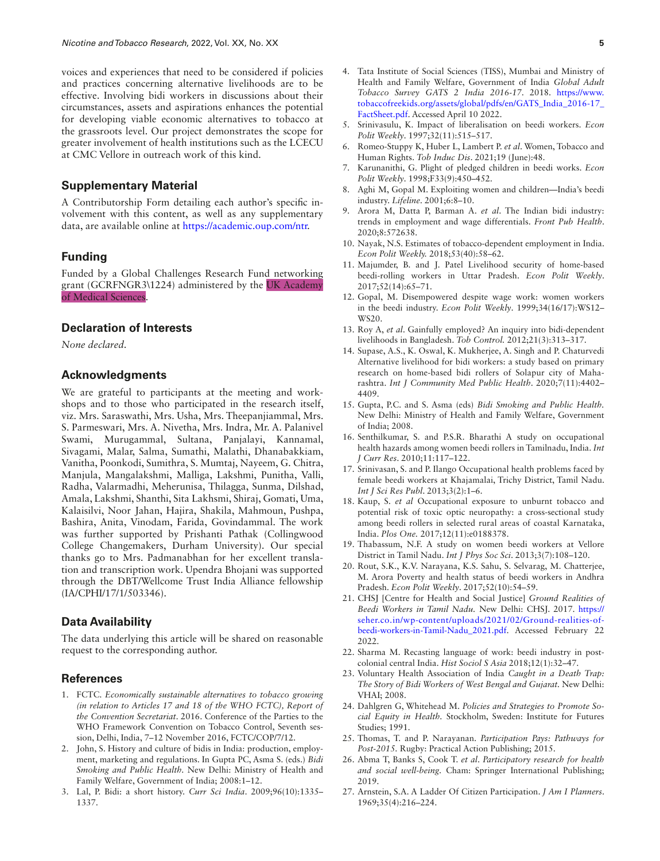voices and experiences that need to be considered if policies and practices concerning alternative livelihoods are to be effective. Involving bidi workers in discussions about their circumstances, assets and aspirations enhances the potential for developing viable economic alternatives to tobacco at the grassroots level. Our project demonstrates the scope for greater involvement of health institutions such as the LCECU at CMC Vellore in outreach work of this kind.

## **Supplementary Material**

A Contributorship Form detailing each author's specifc involvement with this content, as well as any supplementary data, are available online at [https://academic.oup.com/ntr.](https://academic.oup.com/ntr)

## **Funding**

Funded by a Global Challenges Research Fund networking grant (GCRFNGR3\1224) administered by the UK Academy of Medical Sciences.

# **Declaration of Interests**

*None declared.*

#### **Acknowledgments**

We are grateful to participants at the meeting and workshops and to those who participated in the research itself, viz. Mrs. Saraswathi, Mrs. Usha, Mrs. Theepanjiammal, Mrs. S. Parmeswari, Mrs. A. Nivetha, Mrs. Indra, Mr. A. Palanivel Swami, Murugammal, Sultana, Panjalayi, Kannamal, Sivagami, Malar, Salma, Sumathi, Malathi, Dhanabakkiam, Vanitha, Poonkodi, Sumithra, S. Mumtaj, Nayeem, G. Chitra, Manjula, Mangalakshmi, Malliga, Lakshmi, Punitha, Valli, Radha, Valarmadhi, Meherunisa, Thilagga, Sunma, Dilshad, Amala, Lakshmi, Shanthi, Sita Lakhsmi, Shiraj, Gomati, Uma, Kalaisilvi, Noor Jahan, Hajira, Shakila, Mahmoun, Pushpa, Bashira, Anita, Vinodam, Farida, Govindammal. The work was further supported by Prishanti Pathak (Collingwood College Changemakers, Durham University). Our special thanks go to Mrs. Padmanabhan for her excellent translation and transcription work. Upendra Bhojani was supported through the DBT/Wellcome Trust India Alliance fellowship (IA/CPHI/17/1/503346).

#### **Data Availability**

The data underlying this article will be shared on reasonable request to the corresponding author.

## **References**

- 1. FCTC. *Economically sustainable alternatives to tobacco growing (in relation to Articles 17 and 18 of the WHO FCTC), Report of the Convention Secretariat*. 2016. Conference of the Parties to the WHO Framework Convention on Tobacco Control, Seventh session, Delhi, India, 7–12 November 2016, FCTC/COP/7/12.
- 2. John, S. History and culture of bidis in India: production, employment, marketing and regulations. In Gupta PC, Asma S. (eds.) *Bidi Smoking and Public Health.* New Delhi: Ministry of Health and Family Welfare, Government of India; 2008:1–12.
- <span id="page-4-0"></span>3. [Lal, P.](#page-1-0) Bidi: a short history. *Curr Sci India*. 2009;96(10):1335– 1337.
- 
- 4. Tata Institute of Social Sciences (TISS), Mumbai and Ministry of Health and Family Welfare, Government of India *Global Adult Tobacco Survey GATS 2 India 2016-17*. 2018. [https://www.](https://www.tobaccofreekids.org/assets/global/pdfs/en/GATS_India_2016-17_FactSheet.pdf) [tobaccofreekids.org/assets/global/pdfs/en/GATS\\_India\\_2016-17\\_](https://www.tobaccofreekids.org/assets/global/pdfs/en/GATS_India_2016-17_FactSheet.pdf) [FactSheet.pdf](https://www.tobaccofreekids.org/assets/global/pdfs/en/GATS_India_2016-17_FactSheet.pdf). Accessed April 10 2022.
- <span id="page-4-1"></span>5. [Srinivasulu, K.](#page-1-1) Impact of liberalisation on beedi workers. *Econ Polit Weekly*. 1997;32(11):515–517.
- <span id="page-4-2"></span>6. [Romeo-Stuppy K, Huber L, Lambert P.](#page-1-2) *et al*. Women, Tobacco and Human Rights. *Tob Induc Dis*. 2021;19 (June):48.
- <span id="page-4-3"></span>7. [Karunanithi, G.](#page-1-3) Plight of pledged children in beedi works. *Econ Polit Weekly*. 1998;F33(9):450–452.
- <span id="page-4-4"></span>8. [Aghi M, Gopal M.](#page-1-4) Exploiting women and children—India's beedi industry. *Lifeline*. 2001;6:8–10.
- <span id="page-4-5"></span>9. [Arora M, Datta P, Barman A.](#page-1-5) *et al*. The Indian bidi industry: trends in employment and wage differentials. *Front Pub Health*. 2020;8:572638.
- <span id="page-4-6"></span>10. [Nayak, N.S.](#page-1-6) Estimates of tobacco-dependent employment in India. *Econ Polit Weekly.* 2018;53(40):58–62.
- <span id="page-4-7"></span>11. [Majumder, B. and J. Patel](#page-1-7) Livelihood security of home-based beedi-rolling workers in Uttar Pradesh. *Econ Polit Weekly*. 2017;52(14):65–71.
- <span id="page-4-8"></span>12. [Gopal, M.](#page-1-8) Disempowered despite wage work: women workers in the beedi industry. *Econ Polit Weekly*. 1999;34(16/17):WS12– WS<sub>20</sub>
- <span id="page-4-9"></span>13. [Roy A,](#page-1-9) *et al*. Gainfully employed? An inquiry into bidi-dependent livelihoods in Bangladesh. *Tob Control.* 2012;21(3):313–317.
- <span id="page-4-10"></span>14. [Supase, A.S., K. Oswal, K. Mukherjee, A. Singh and P. Chaturvedi](#page-1-10)  Alternative livelihood for bidi workers: a study based on primary research on home-based bidi rollers of Solapur city of Maharashtra. *Int J Community Med Public Health*. 2020;7(11):4402– 4409.
- <span id="page-4-11"></span>15. [Gupta, P.C. and S. Asma](#page-1-11) (eds) *Bidi Smoking and Public Health.* New Delhi: Ministry of Health and Family Welfare, Government of India; 2008.
- <span id="page-4-12"></span>16. [Senthilkumar, S. and P.S.R. Bharathi](#page-1-12) A study on occupational health hazards among women beedi rollers in Tamilnadu, India. *Int J Curr Res*. 2010;11:117–122.
- <span id="page-4-13"></span>17. [Srinivasan, S. and P. Ilango O](#page-1-13)ccupational health problems faced by female beedi workers at Khajamalai, Trichy District, Tamil Nadu. *Int J Sci Res Publ*. 2013;3(2):1–6.
- <span id="page-4-14"></span>18. [Kaup, S.](#page-1-14) *et al* Occupational exposure to unburnt tobacco and potential risk of toxic optic neuropathy: a cross-sectional study among beedi rollers in selected rural areas of coastal Karnataka, India. *Plos One.* 2017;12(11):e0188378.
- <span id="page-4-15"></span>19. [Thabassum, N.F.](#page-1-15) A study on women beedi workers at Vellore District in Tamil Nadu. *Int J Phys Soc Sci*. 2013;3(7):108–120.
- <span id="page-4-16"></span>20. [Rout, S.K., K.V. Narayana, K.S. Sahu, S. Selvarag, M. Chatterjee,](#page-1-16)  [M. Arora](#page-1-16) Poverty and health status of beedi workers in Andhra Pradesh. *Econ Polit Weekly*. 2017;52(10):54–59.
- 21. CHSJ [Centre for Health and Social Justice] *Ground Realities of Beedi Workers in Tamil Nadu.* New Delhi: CHSJ. 2017. [https://](https://seher.co.in/wp-content/uploads/2021/02/Ground-realities-of-beedi-workers-in-Tamil-Nadu_2021.pdf) [seher.co.in/wp-content/uploads/2021/02/Ground-realities-of](https://seher.co.in/wp-content/uploads/2021/02/Ground-realities-of-beedi-workers-in-Tamil-Nadu_2021.pdf)[beedi-workers-in-Tamil-Nadu\\_2021.pdf.](https://seher.co.in/wp-content/uploads/2021/02/Ground-realities-of-beedi-workers-in-Tamil-Nadu_2021.pdf) Accessed February 22 2022.
- <span id="page-4-17"></span>22. [Sharma M.](#page-1-17) Recasting language of work: beedi industry in postcolonial central India. *Hist Sociol S Asia* 2018;12(1):32–47.
- 23. Voluntary Health Association of India *Caught in a Death Trap: The Story of Bidi Workers of West Bengal and Gujarat.* New Delhi: VHAI; 2008.
- <span id="page-4-18"></span>24. [Dahlgren G, Whitehead M.](#page-1-18) *Policies and Strategies to Promote Social Equity in Health.* Stockholm, Sweden: Institute for Futures Studies; 1991.
- <span id="page-4-19"></span>25. [Thomas, T. and P. Narayanan.](#page-1-19) *Participation Pays: Pathways for Post-2015.* Rugby: Practical Action Publishing; 2015.
- <span id="page-4-20"></span>26. [Abma T, Banks S, Cook T.](#page-1-20) *et al*. *Participatory research for health and social well-being.* Cham: Springer International Publishing; 2019.
- <span id="page-4-21"></span>27. [Arnstein, S.A.](#page-1-21) A Ladder Of Citizen Participation. *J Am I Planners*. 1969;35(4):216–224.